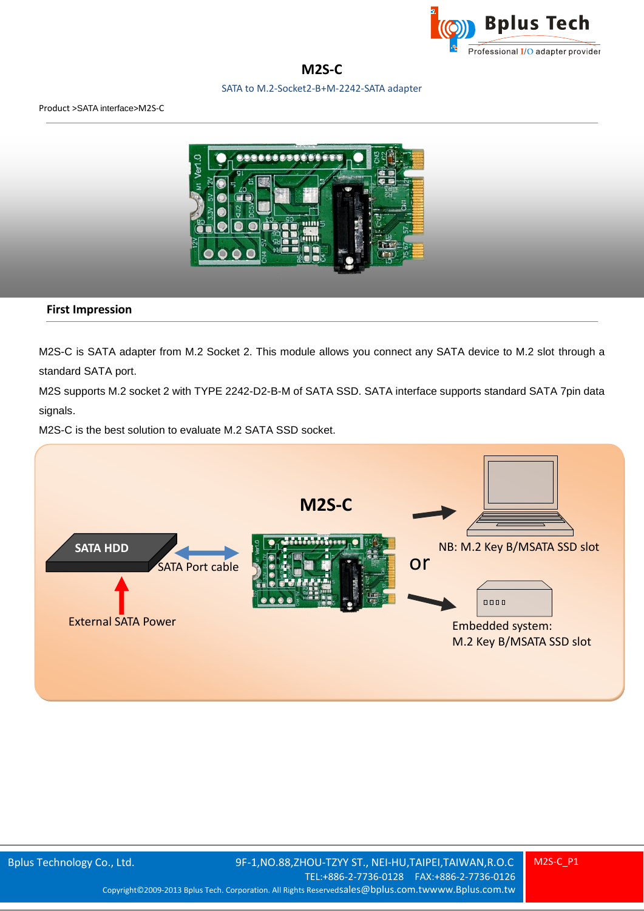

**M2S-C**

SATA to M.2-Socket2-B+M-2242-SATA adapter



#### **First Impression**

M2S-C is SATA adapter from M.2 Socket 2. This module allows you connect any SATA device to M.2 slot through a standard SATA port.

M2S supports M.2 socket 2 with TYPE 2242-D2-B-M of SATA SSD. SATA interface supports standard SATA 7pin data signals.

M2S-C is the best solution to evaluate M.2 SATA SSD socket.